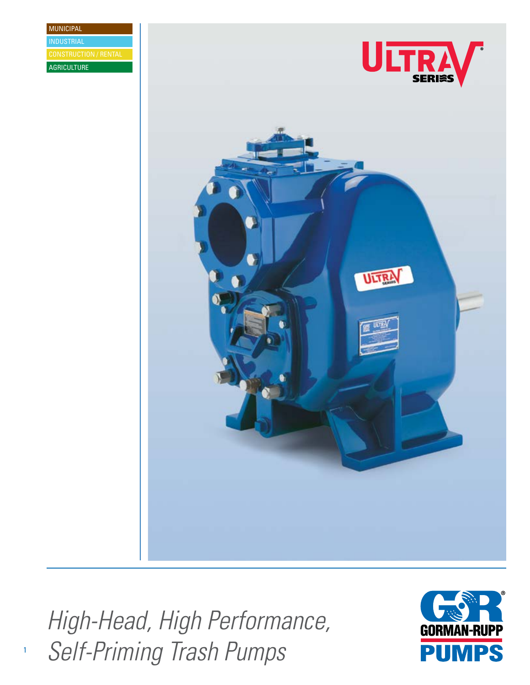MUNICIPAL **AGRICULTURE** INDUSTRIAL





*High-Head, High Performance, Self-Priming Trash Pumps*

1

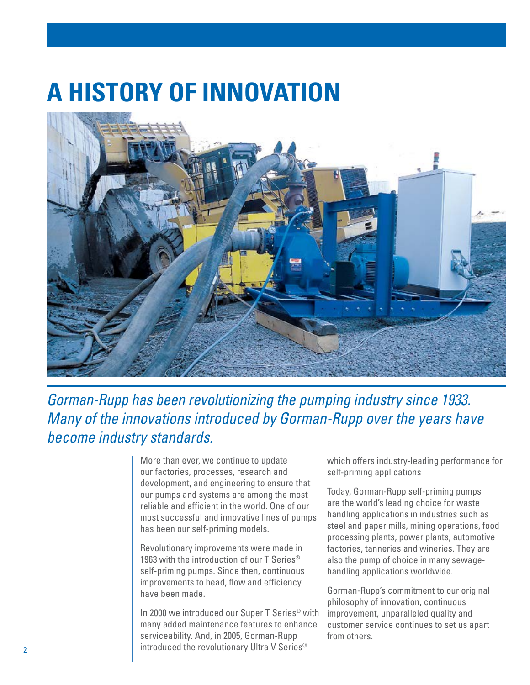## **A History of Innovation**



*Gorman-Rupp has been revolutionizing the pumping industry since 1933. Many of the innovations introduced by Gorman-Rupp over the years have become industry standards.* 

> More than ever, we continue to update our factories, processes, research and development, and engineering to ensure that our pumps and systems are among the most reliable and efficient in the world. One of our most successful and innovative lines of pumps has been our self-priming models.

Revolutionary improvements were made in 1963 with the introduction of our T Series<sup>®</sup> self-priming pumps. Since then, continuous improvements to head, flow and efficiency have been made.

In 2000 we introduced our Super T Series® with many added maintenance features to enhance serviceability. And, in 2005, Gorman-Rupp introduced the revolutionary Ultra V Series®

which offers industry-leading performance for self-priming applications

Today, Gorman-Rupp self-priming pumps are the world's leading choice for waste handling applications in industries such as steel and paper mills, mining operations, food processing plants, power plants, automotive factories, tanneries and wineries. They are also the pump of choice in many sewagehandling applications worldwide.

Gorman-Rupp's commitment to our original philosophy of innovation, continuous improvement, unparalleled quality and customer service continues to set us apart from others.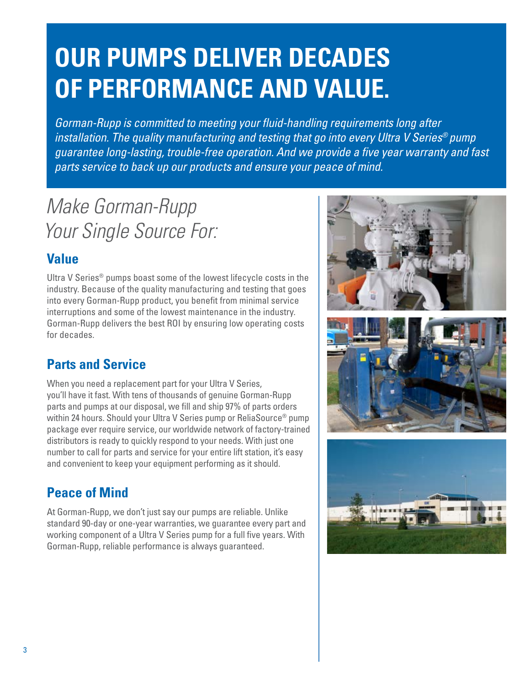## **Our Pumps deliver decades of performance and value.**

*Gorman-Rupp is committed to meeting your fluid-handling requirements long after installation. The quality manufacturing and testing that go into every Ultra V Series® pump guarantee long-lasting, trouble-free operation. And we provide a five year warranty and fast parts service to back up our products and ensure your peace of mind.*

### *Make Gorman-Rupp Your Single Source For:*

#### **Value**

Ultra V Series® pumps boast some of the lowest lifecycle costs in the industry. Because of the quality manufacturing and testing that goes into every Gorman-Rupp product, you benefit from minimal service interruptions and some of the lowest maintenance in the industry. Gorman-Rupp delivers the best ROI by ensuring low operating costs for decades.

#### **Parts and Service**

When you need a replacement part for your Ultra V Series, you'll have it fast. With tens of thousands of genuine Gorman-Rupp parts and pumps at our disposal, we fill and ship 97% of parts orders within 24 hours. Should your Ultra V Series pump or ReliaSource® pump package ever require service, our worldwide network of factory-trained distributors is ready to quickly respond to your needs. With just one number to call for parts and service for your entire lift station, it's easy and convenient to keep your equipment performing as it should.

#### **Peace of Mind**

At Gorman-Rupp, we don't just say our pumps are reliable. Unlike standard 90-day or one-year warranties, we guarantee every part and working component of a Ultra V Series pump for a full five years. With Gorman-Rupp, reliable performance is always guaranteed.

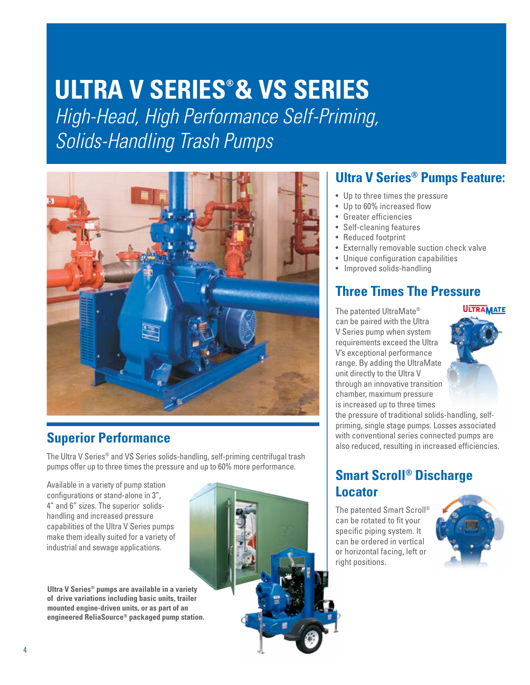## **Ultra V SERIES® & VS Series**

*High-Head, High Performance Self-Priming, Solids-Handling Trash Pumps*



#### **Superior Performance**

The Ultra V Series® and VS Series solids-handling, self-priming centrifugal trash pumps offer up to three times the pressure and up to 60% more performance.

Available in a variety of pump station configurations or stand-alone in 3", 4" and 6" sizes. The superior solidshandling and increased pressure capabilities of the Ultra V Series pumps make them ideally suited for a variety of industrial and sewage applications.

**Ultra V Series® pumps are available in a variety of drive variations including basic units, trailer mounted engine-driven units, or as part of an engineered ReliaSource® packaged pump station.**



#### **Ultra V Series® Pumps Feature:**

- Up to three times the pressure
- Up to 60% increased flow
- • Greater efficiencies
- • Self-cleaning features
- Reduced footprint
- • Externally removable suction check valve
- Unique configuration capabilities
- Improved solids-handling

#### **Three Times The Pressure**

The patented UltraMate® can be paired with the Ultra V Series pump when system requirements exceed the Ultra V's exceptional performance range. By adding the UltraMate unit directly to the Ultra V through an innovative transition chamber, maximum pressure is increased up to three times



the pressure of traditional solids-handling, selfpriming, single stage pumps. Losses associated with conventional series connected pumps are also reduced, resulting in increased efficiencies.

#### **Smart Scroll® Discharge Locator**

The patented Smart Scroll® can be rotated to fit your specific piping system. It can be ordered in vertical or horizontal facing, left or right positions.

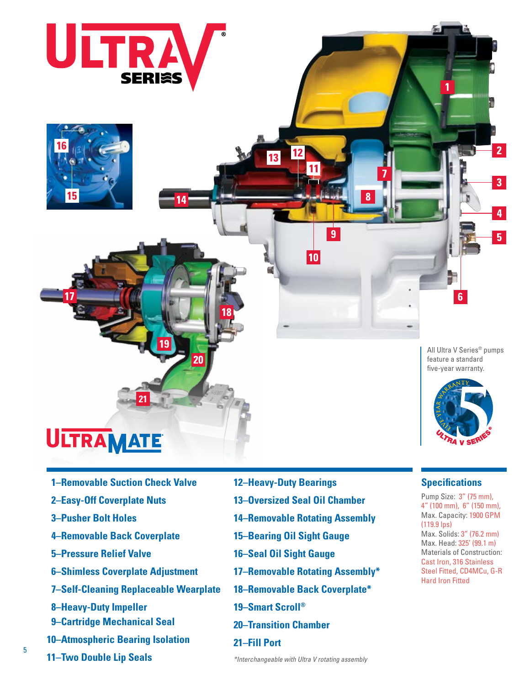



All Ultra V Series® pumps feature a standard five-year warranty.

 $6\phantom{a}$ 

 $\overline{2}$ 

 $\overline{3}$ 

4

5



**Specifications**  Pump Size: 3" (75 mm), 4" (100 mm), 6" (150 mm), Max. Capacity: 1900 GPM

Max. Solids: 3" (76.2 mm) Max. Head: 325' (99.1 m) Materials of Construction: Cast Iron, 316 Stainless Steel Fitted, CD4MCu, G-R

(119.9 lps)

Hard Iron Fitted

- 
- **01–Removable Suction Check Valve**

**21**

**02–Easy-Off Coverplate Nuts**

**ULTRAMATE** 

- **03–Pusher Bolt Holes**
- **04–Removable Back Coverplate**
- **05–Pressure Relief Valve**
- **06– Shimless Coverplate Adjustment**
- **07– Self-Cleaning Replaceable Wearplate**
- **08–Heavy-Duty Impeller**
- **09–Cartridge Mechanical Seal**
- **10–Atmospheric Bearing Isolation**
- **11–Two Double Lip Seals**
- **12–Heavy-Duty Bearings**
- **13–Oversized Seal Oil Chamber**
- **14–Removable Rotating Assembly**

 $\overline{9}$ 

10

- **15–Bearing Oil Sight Gauge**
- **16–Seal Oil Sight Gauge**
- **17–Removable Rotating Assembly\***
- **18–Removable Back Coverplate\***
- **19–Smart Scroll®**
- **20–Transition Chamber**
- **21–Fill Port**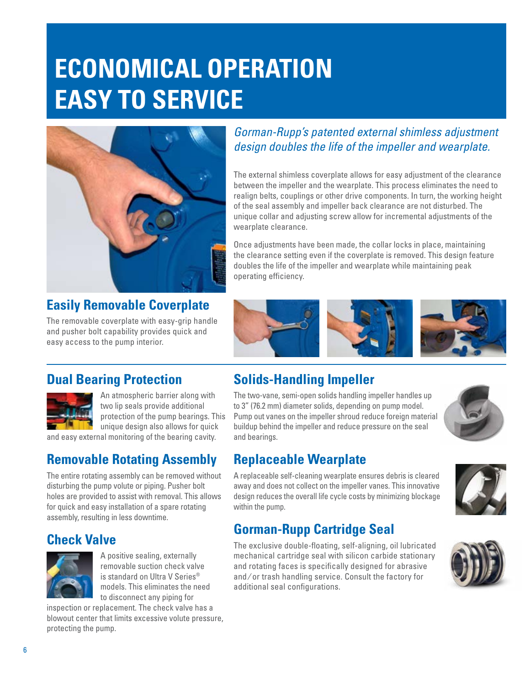## **Economical operation Easy to service**



#### **Easily Removable Coverplate**

The removable coverplate with easy-grip handle and pusher bolt capability provides quick and easy access to the pump interior.

#### *Gorman-Rupp's patented external shimless adjustment design doubles the life of the impeller and wearplate.*

The external shimless coverplate allows for easy adjustment of the clearance between the impeller and the wearplate. This process eliminates the need to realign belts, couplings or other drive components. In turn, the working height of the seal assembly and impeller back clearance are not disturbed. The unique collar and adjusting screw allow for incremental adjustments of the wearplate clearance.

Once adjustments have been made, the collar locks in place, maintaining the clearance setting even if the coverplate is removed. This design feature doubles the life of the impeller and wearplate while maintaining peak operating efficiency.



#### **Dual Bearing Protection**



An atmospheric barrier along with two lip seals provide additional protection of the pump bearings. This unique design also allows for quick

and easy external monitoring of the bearing cavity.

#### **Removable Rotating Assembly**

The entire rotating assembly can be removed without disturbing the pump volute or piping. Pusher bolt holes are provided to assist with removal. This allows for quick and easy installation of a spare rotating assembly, resulting in less downtime.

#### **Check Valve**



A positive sealing, externally removable suction check valve is standard on Ultra V Series® models. This eliminates the need to disconnect any piping for

inspection or replacement. The check valve has a blowout center that limits excessive volute pressure, protecting the pump.

#### **Solids-Handling Impeller**

The two-vane, semi-open solids handling impeller handles up to 3" (76.2 mm) diameter solids, depending on pump model. Pump out vanes on the impeller shroud reduce foreign material buildup behind the impeller and reduce pressure on the seal and bearings.



#### **Replaceable Wearplate**

A replaceable self-cleaning wearplate ensures debris is cleared away and does not collect on the impeller vanes. This innovative design reduces the overall life cycle costs by minimizing blockage within the pump.

#### **Gorman-Rupp Cartridge Seal**

The exclusive double-floating, self-aligning, oil lubricated mechanical cartridge seal with silicon carbide stationary and rotating faces is specifically designed for abrasive and ⁄ or trash handling service. Consult the factory for additional seal configurations.



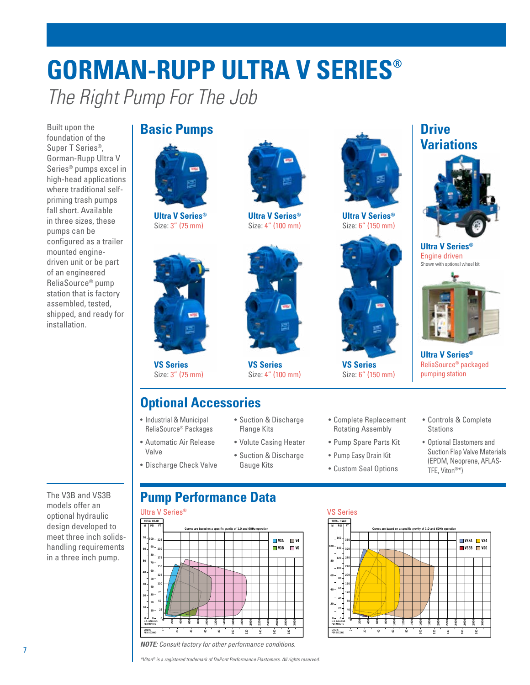## **Gorman-Rupp Ultra V Series®** *The Right Pump For The Job*

Built upon the foundation of the Super T Series®, Gorman-Rupp Ultra V Series® pumps excel in high-head applications where traditional selfpriming trash pumps fall short. Available in three sizes, these pumps can be configured as a trailer mounted enginedriven unit or be part of an engineered ReliaSource® pump station that is factory assembled, tested, shipped, and ready for installation.

#### **Basic Pumps Drive Drive**



**Ultra V Series®** Size: 3" (75 mm)



**VS Series** Size: 3" (75 mm)

#### **Optional Accessories**

- Industrial & Municipal ReliaSource® Packages
- • Automatic Air Release Valve
- • Discharge Check Valve



**Ultra V Series®** Size: 4" (100 mm)



**VS Series** Size: 4" (100 mm)

• Suction & Discharge Flange Kits

• Volute Casing Heater • Suction & Discharge Gauge Kits



**Ultra V Series®** Size: 6" (150 mm)



**VS Series** Size: 6" (150 mm)

- • Complete Replacement Rotating Assembly
- • Pump Spare Parts Kit
- Pump Easy Drain Kit
- • Custom Seal Options

**200 400 600 800 1000 1200 1400 1600 1800 2000 2200 2400 2600 2800 3000**

**U.S. GALLONS PER MINUTE PER SECOND LITERS**

**0**

**0**

**80 100**

**60 80 100**

> **60 40 20**

**TOTAL HEAD M PSI FT 360**

**160 140 120**

> **80 40 0**

> > **20 40 60 80** <u>ទ</u>

# **Variations**



**Ultra V Series®** Engine driven Shown with optional wheel kit



**Ultra V Series®** ReliaSource® packaged pumping station

• Controls & Complete **Stations** 

> **140 160 180**

**Curves are based on a specific gravity of 1.0 and 60Hz operation**

• Optional Elastomers and Suction Flap Valve Materials (EPDM, Neoprene, AFLAS-TFE, Viton®\*)

> **VS3B VS6 VS3A VS4**

#### **Pump Performance Data**



*Note: Consult factory for other performance conditions.*

*\*Viton® is a registered trademark of DuPont Performance Elastomers. All rights reserved.*

The V3B and VS3B models offer an optional hydraulic design developed to meet three inch solidshandling requirements in a three inch pump.